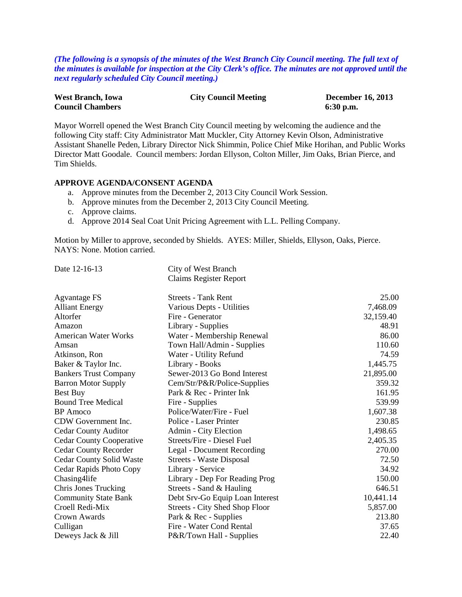*(The following is a synopsis of the minutes of the West Branch City Council meeting. The full text of the minutes is available for inspection at the City Clerk's office. The minutes are not approved until the next regularly scheduled City Council meeting.)*

| <b>West Branch, Iowa</b> | <b>City Council Meeting</b> | <b>December 16, 2013</b> |
|--------------------------|-----------------------------|--------------------------|
| <b>Council Chambers</b>  |                             | $6:30$ p.m.              |

Mayor Worrell opened the West Branch City Council meeting by welcoming the audience and the following City staff: City Administrator Matt Muckler, City Attorney Kevin Olson, Administrative Assistant Shanelle Peden, Library Director Nick Shimmin, Police Chief Mike Horihan, and Public Works Director Matt Goodale. Council members: Jordan Ellyson, Colton Miller, Jim Oaks, Brian Pierce, and Tim Shields.

#### **APPROVE AGENDA/CONSENT AGENDA**

- a. Approve minutes from the December 2, 2013 City Council Work Session.
- b. Approve minutes from the December 2, 2013 City Council Meeting.
- c. Approve claims.
- d. Approve 2014 Seal Coat Unit Pricing Agreement with L.L. Pelling Company.

Motion by Miller to approve, seconded by Shields. AYES: Miller, Shields, Ellyson, Oaks, Pierce. NAYS: None. Motion carried.

Date 12-16-13 City of West Branch Claims Register Report

| Agvantage FS                    | <b>Streets - Tank Rent</b>            | 25.00     |
|---------------------------------|---------------------------------------|-----------|
| <b>Alliant Energy</b>           | Various Depts - Utilities             | 7,468.09  |
| Altorfer                        | Fire - Generator                      | 32,159.40 |
| Amazon                          | Library - Supplies                    | 48.91     |
| <b>American Water Works</b>     | Water - Membership Renewal            | 86.00     |
| Amsan                           | Town Hall/Admin - Supplies            | 110.60    |
| Atkinson, Ron                   | Water - Utility Refund                | 74.59     |
| Baker & Taylor Inc.             | Library - Books                       | 1,445.75  |
| <b>Bankers Trust Company</b>    | Sewer-2013 Go Bond Interest           | 21,895.00 |
| <b>Barron Motor Supply</b>      | Cem/Str/P&R/Police-Supplies           | 359.32    |
| <b>Best Buy</b>                 | Park & Rec - Printer Ink              | 161.95    |
| <b>Bound Tree Medical</b>       | Fire - Supplies                       | 539.99    |
| <b>BP</b> Amoco                 | Police/Water/Fire - Fuel              | 1,607.38  |
| CDW Government Inc.             | Police - Laser Printer                | 230.85    |
| <b>Cedar County Auditor</b>     | Admin - City Election                 | 1,498.65  |
| <b>Cedar County Cooperative</b> | Streets/Fire - Diesel Fuel            | 2,405.35  |
| <b>Cedar County Recorder</b>    | Legal - Document Recording            | 270.00    |
| <b>Cedar County Solid Waste</b> | Streets - Waste Disposal              | 72.50     |
| Cedar Rapids Photo Copy         | Library - Service                     | 34.92     |
| Chasing4life                    | Library - Dep For Reading Prog        | 150.00    |
| <b>Chris Jones Trucking</b>     | Streets - Sand & Hauling              | 646.51    |
| <b>Community State Bank</b>     | Debt Srv-Go Equip Loan Interest       | 10,441.14 |
| Croell Redi-Mix                 | <b>Streets - City Shed Shop Floor</b> | 5,857.00  |
| Crown Awards                    | Park & Rec - Supplies                 | 213.80    |
| Culligan                        | Fire - Water Cond Rental              | 37.65     |
| Deweys Jack & Jill              | P&R/Town Hall - Supplies              | 22.40     |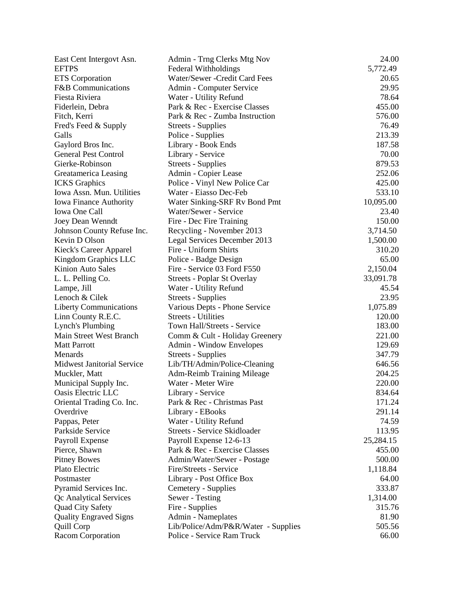| East Cent Intergovt Asn.          | Admin - Trng Clerks Mtg Nov         | 24.00     |
|-----------------------------------|-------------------------------------|-----------|
| <b>EFTPS</b>                      | Federal Withholdings                | 5,772.49  |
| <b>ETS</b> Corporation            | Water/Sewer - Credit Card Fees      | 20.65     |
| F&B Communications                | Admin - Computer Service            | 29.95     |
| Fiesta Riviera                    | Water - Utility Refund              | 78.64     |
| Fiderlein, Debra                  | Park & Rec - Exercise Classes       | 455.00    |
| Fitch, Kerri                      | Park & Rec - Zumba Instruction      | 576.00    |
| Fred's Feed & Supply              | <b>Streets - Supplies</b>           | 76.49     |
| Galls                             | Police - Supplies                   | 213.39    |
| Gaylord Bros Inc.                 | Library - Book Ends                 | 187.58    |
| <b>General Pest Control</b>       | Library - Service                   | 70.00     |
| Gierke-Robinson                   | Streets - Supplies                  | 879.53    |
| Greatamerica Leasing              | Admin - Copier Lease                | 252.06    |
| <b>ICKS</b> Graphics              | Police - Vinyl New Police Car       | 425.00    |
| Iowa Assn. Mun. Utilities         | Water - Eiasso Dec-Feb              | 533.10    |
| <b>Iowa Finance Authority</b>     | Water Sinking-SRF Rv Bond Pmt       | 10,095.00 |
| <b>Iowa One Call</b>              | Water/Sewer - Service               | 23.40     |
| Joey Dean Wenndt                  | Fire - Dec Fire Training            | 150.00    |
| Johnson County Refuse Inc.        | Recycling - November 2013           | 3,714.50  |
| Kevin D Olson                     | Legal Services December 2013        | 1,500.00  |
| Kieck's Career Apparel            | Fire - Uniform Shirts               | 310.20    |
| Kingdom Graphics LLC              | Police - Badge Design               | 65.00     |
| Kinion Auto Sales                 | Fire - Service 03 Ford F550         | 2,150.04  |
| L. L. Pelling Co.                 | Streets - Poplar St Overlay         | 33,091.78 |
| Lampe, Jill                       | Water - Utility Refund              | 45.54     |
| Lenoch & Cilek                    | <b>Streets - Supplies</b>           | 23.95     |
| <b>Liberty Communications</b>     | Various Depts - Phone Service       | 1,075.89  |
| Linn County R.E.C.                | <b>Streets - Utilities</b>          | 120.00    |
| <b>Lynch's Plumbing</b>           | Town Hall/Streets - Service         | 183.00    |
| Main Street West Branch           | Comm & Cult - Holiday Greenery      | 221.00    |
| <b>Matt Parrott</b>               | Admin - Window Envelopes            | 129.69    |
| Menards                           | <b>Streets - Supplies</b>           | 347.79    |
| <b>Midwest Janitorial Service</b> | Lib/TH/Admin/Police-Cleaning        | 646.56    |
| Muckler, Matt                     | <b>Adm-Reimb Training Mileage</b>   | 204.25    |
| Municipal Supply Inc.             | Water - Meter Wire                  | 220.00    |
| Oasis Electric LLC                | Library - Service                   | 834.64    |
| Oriental Trading Co. Inc.         | Park & Rec - Christmas Past         | 171.24    |
| Overdrive                         | Library - EBooks                    | 291.14    |
| Pappas, Peter                     | Water - Utility Refund              | 74.59     |
| Parkside Service                  | <b>Streets - Service Skidloader</b> | 113.95    |
| Payroll Expense                   | Payroll Expense 12-6-13             | 25,284.15 |
| Pierce, Shawn                     | Park & Rec - Exercise Classes       | 455.00    |
| <b>Pitney Bowes</b>               | Admin/Water/Sewer - Postage         | 500.00    |
| Plato Electric                    | Fire/Streets - Service              | 1,118.84  |
| Postmaster                        | Library - Post Office Box           | 64.00     |
| Pyramid Services Inc.             | Cemetery - Supplies                 | 333.87    |
| Qc Analytical Services            | Sewer - Testing                     | 1,314.00  |
| Quad City Safety                  | Fire - Supplies                     | 315.76    |
| <b>Quality Engraved Signs</b>     | Admin - Nameplates                  | 81.90     |
| Quill Corp                        | Lib/Police/Adm/P&R/Water - Supplies | 505.56    |
| Racom Corporation                 | Police - Service Ram Truck          | 66.00     |
|                                   |                                     |           |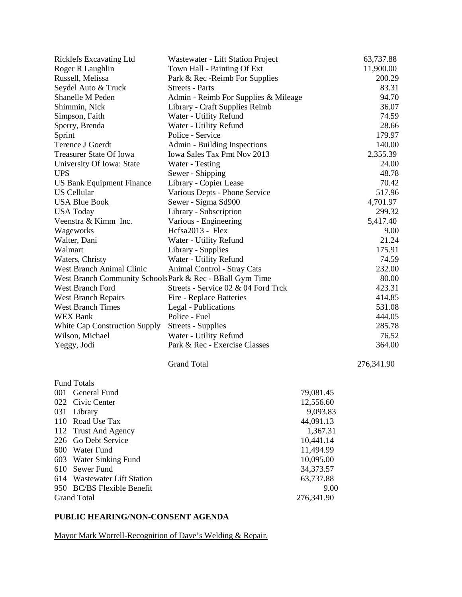| Ricklefs Excavating Ltd                                  | Wastewater - Lift Station Project    |                   | 63,737.88  |
|----------------------------------------------------------|--------------------------------------|-------------------|------------|
| Roger R Laughlin                                         | Town Hall - Painting Of Ext          |                   | 11,900.00  |
| Russell, Melissa                                         | Park & Rec - Reimb For Supplies      |                   | 200.29     |
| Seydel Auto & Truck                                      | <b>Streets - Parts</b>               |                   | 83.31      |
| Shanelle M Peden                                         | Admin - Reimb For Supplies & Mileage |                   | 94.70      |
| Shimmin, Nick                                            | Library - Craft Supplies Reimb       |                   | 36.07      |
| Simpson, Faith                                           | Water - Utility Refund               |                   | 74.59      |
| Sperry, Brenda                                           | Water - Utility Refund               |                   | 28.66      |
| Sprint                                                   | Police - Service                     |                   | 179.97     |
| Terence J Goerdt                                         | Admin - Building Inspections         |                   | 140.00     |
| <b>Treasurer State Of Iowa</b>                           | <b>Iowa Sales Tax Pmt Nov 2013</b>   |                   | 2,355.39   |
| University Of Iowa: State                                | Water - Testing                      |                   | 24.00      |
| <b>UPS</b>                                               | Sewer - Shipping                     |                   | 48.78      |
| <b>US Bank Equipment Finance</b>                         | Library - Copier Lease               |                   | 70.42      |
| <b>US Cellular</b>                                       | Various Depts - Phone Service        |                   | 517.96     |
| <b>USA Blue Book</b>                                     | Sewer - Sigma Sd900                  |                   | 4,701.97   |
| <b>USA Today</b>                                         | Library - Subscription               |                   | 299.32     |
| Veenstra & Kimm Inc.                                     | Various - Engineering                |                   | 5,417.40   |
| Wageworks                                                | Hcfsa2013 - Flex                     |                   | 9.00       |
| Walter, Dani                                             | Water - Utility Refund               |                   | 21.24      |
| Walmart                                                  | Library - Supplies                   |                   | 175.91     |
| Waters, Christy                                          | Water - Utility Refund               |                   | 74.59      |
| <b>West Branch Animal Clinic</b>                         | Animal Control - Stray Cats          |                   | 232.00     |
| West Branch Community SchoolsPark & Rec - BBall Gym Time |                                      |                   | 80.00      |
| <b>West Branch Ford</b>                                  | Streets - Service 02 & 04 Ford Trck  |                   | 423.31     |
| <b>West Branch Repairs</b>                               | Fire - Replace Batteries             |                   | 414.85     |
| <b>West Branch Times</b>                                 | Legal - Publications                 |                   | 531.08     |
| <b>WEX Bank</b>                                          | Police - Fuel                        |                   | 444.05     |
| White Cap Construction Supply                            | <b>Streets - Supplies</b>            |                   | 285.78     |
| Wilson, Michael                                          | Water - Utility Refund               |                   | 76.52      |
| Yeggy, Jodi                                              | Park & Rec - Exercise Classes        |                   | 364.00     |
|                                                          | <b>Grand Total</b>                   |                   | 276,341.90 |
| <b>Fund Totals</b>                                       |                                      |                   |            |
| 001 General Fund                                         |                                      | 79,081.45         |            |
| 022 Civic Center                                         |                                      |                   |            |
|                                                          |                                      | 12,556.60         |            |
| 031<br>Library<br>110 Road Use Tax                       |                                      | 9,093.83          |            |
| 112                                                      |                                      | 44,091.13         |            |
| <b>Trust And Agency</b>                                  |                                      | 1,367.31          |            |
| 226 Go Debt Service<br>600 Water Fund                    |                                      | 10,441.14         |            |
|                                                          |                                      | 11,494.99         |            |
| Water Sinking Fund<br>603<br>610 Sewer Fund              |                                      | 10,095.00         |            |
| 614 Wastewater Lift Station                              |                                      | 34,373.57         |            |
| 950 BC/BS Flexible Benefit                               |                                      | 63,737.88<br>9.00 |            |
|                                                          |                                      |                   |            |
| <b>Grand Total</b>                                       |                                      | 276,341.90        |            |

# **PUBLIC HEARING/NON-CONSENT AGENDA**

Mayor Mark Worrell-Recognition of Dave's Welding & Repair.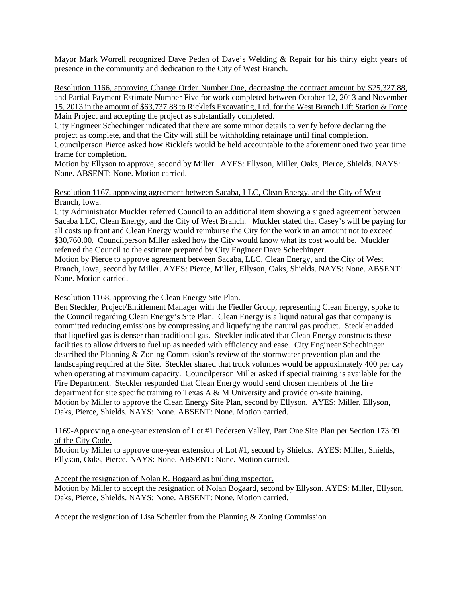Mayor Mark Worrell recognized Dave Peden of Dave's Welding & Repair for his thirty eight years of presence in the community and dedication to the City of West Branch.

Resolution 1166, approving Change Order Number One, decreasing the contract amount by \$25,327.88, and Partial Payment Estimate Number Five for work completed between October 12, 2013 and November 15, 2013 in the amount of \$63,737.88 to Ricklefs Excavating, Ltd. for the West Branch Lift Station & Force Main Project and accepting the project as substantially completed.

City Engineer Schechinger indicated that there are some minor details to verify before declaring the project as complete, and that the City will still be withholding retainage until final completion.

Councilperson Pierce asked how Ricklefs would be held accountable to the aforementioned two year time frame for completion.

Motion by Ellyson to approve, second by Miller. AYES: Ellyson, Miller, Oaks, Pierce, Shields. NAYS: None. ABSENT: None. Motion carried.

#### Resolution 1167, approving agreement between Sacaba, LLC, Clean Energy, and the City of West Branch, Iowa.

City Administrator Muckler referred Council to an additional item showing a signed agreement between Sacaba LLC, Clean Energy, and the City of West Branch. Muckler stated that Casey's will be paying for all costs up front and Clean Energy would reimburse the City for the work in an amount not to exceed \$30,760.00. Councilperson Miller asked how the City would know what its cost would be. Muckler referred the Council to the estimate prepared by City Engineer Dave Schechinger.

Motion by Pierce to approve agreement between Sacaba, LLC, Clean Energy, and the City of West Branch, Iowa, second by Miller. AYES: Pierce, Miller, Ellyson, Oaks, Shields. NAYS: None. ABSENT: None. Motion carried.

Resolution 1168, approving the Clean Energy Site Plan.

Ben Steckler, Project/Entitlement Manager with the Fiedler Group, representing Clean Energy, spoke to the Council regarding Clean Energy's Site Plan. Clean Energy is a liquid natural gas that company is committed reducing emissions by compressing and liquefying the natural gas product. Steckler added that liquefied gas is denser than traditional gas. Steckler indicated that Clean Energy constructs these facilities to allow drivers to fuel up as needed with efficiency and ease. City Engineer Schechinger described the Planning & Zoning Commission's review of the stormwater prevention plan and the landscaping required at the Site. Steckler shared that truck volumes would be approximately 400 per day when operating at maximum capacity. Councilperson Miller asked if special training is available for the Fire Department. Steckler responded that Clean Energy would send chosen members of the fire department for site specific training to Texas A & M University and provide on-site training. Motion by Miller to approve the Clean Energy Site Plan, second by Ellyson. AYES: Miller, Ellyson, Oaks, Pierce, Shields. NAYS: None. ABSENT: None. Motion carried.

### 1169-Approving a one-year extension of Lot #1 Pedersen Valley, Part One Site Plan per Section 173.09 of the City Code.

Motion by Miller to approve one-year extension of Lot #1, second by Shields. AYES: Miller, Shields, Ellyson, Oaks, Pierce. NAYS: None. ABSENT: None. Motion carried.

### Accept the resignation of Nolan R. Bogaard as building inspector.

Motion by Miller to accept the resignation of Nolan Bogaard, second by Ellyson. AYES: Miller, Ellyson, Oaks, Pierce, Shields. NAYS: None. ABSENT: None. Motion carried.

Accept the resignation of Lisa Schettler from the Planning & Zoning Commission